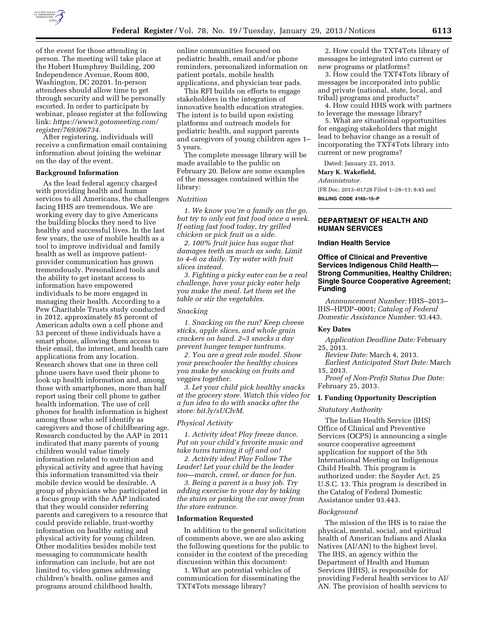

of the event for those attending in person. The meeting will take place at the Hubert Humphrey Building, 200 Independence Avenue, Room 800, Washington, DC 20201. In-person attendees should allow time to get through security and will be personally escorted. In order to participate by webinar, please register at the following link: *[https://www3.gotomeeting.com/](https://www3.gotomeeting.com/register/769306734)  [register/769306734.](https://www3.gotomeeting.com/register/769306734)* 

After registering, individuals will receive a confirmation email containing information about joining the webinar on the day of the event.

### **Background Information**

As the lead federal agency charged with providing health and human services to all Americans, the challenges facing HHS are tremendous. We are working every day to give Americans the building blocks they need to live healthy and successful lives. In the last few years, the use of mobile health as a tool to improve individual and family health as well as improve patientprovider communication has grown tremendously. Personalized tools and the ability to get instant access to information have empowered individuals to be more engaged in managing their health. According to a Pew Charitable Trusts study conducted in 2012, approximately 85 percent of American adults own a cell phone and 53 percent of these individuals have a smart phone, allowing them access to their email, the internet, and health care applications from any location. Research shows that one in three cell phone users have used their phone to look up health information and, among those with smartphones, more than half report using their cell phone to gather health information. The use of cell phones for health information is highest among those who self identify as caregivers and those of childbearing age. Research conducted by the AAP in 2011 indicated that many parents of young children would value timely information related to nutrition and physical activity and agree that having this information transmitted via their mobile device would be desirable. A group of physicians who participated in a focus group with the AAP indicated that they would consider referring parents and caregivers to a resource that could provide reliable, trust-worthy information on healthy eating and physical activity for young children. Other modalities besides mobile text messaging to communicate health information can include, but are not limited to, video games addressing children's health, online games and programs around childhood health,

online communities focused on pediatric health, email and/or phone reminders, personalized information on patient portals, mobile health applications, and physician tear pads.

This RFI builds on efforts to engage stakeholders in the integration of innovative health education strategies. The intent is to build upon existing platforms and outreach models for pediatric health, and support parents and caregivers of young children ages 1– 5 years.

The complete message library will be made available to the public on February 20. Below are some examples of the messages contained within the library:

#### *Nutrition*

*1. We know you're a family on the go, but try to only eat fast food once a week. If eating fast food today, try grilled chicken or pick fruit as a side.* 

*2. 100% fruit juice has sugar that damages teeth as much as soda. Limit to 4–6 oz daily. Try water with fruit slices instead.* 

*3. Fighting a picky eater can be a real challenge, have your picky eater help you make the meal. Let them set the table or stir the vegetables.* 

# *Snacking*

*1. Snacking on the run? Keep cheese sticks, apple slices, and whole grain crackers on hand. 2–3 snacks a day prevent hunger temper tantrums.* 

*2. You are a great role model. Show your preschooler the healthy choices you make by snacking on fruits and veggies together.* 

*3. Let your child pick healthy snacks at the grocery store. Watch this video for a fun idea to do with snacks after the store: bit.ly/sUClvM.* 

#### *Physical Activity*

*1. Activity idea! Play freeze dance. Put on your child's favorite music and take turns turning it off and on!* 

*2. Activity idea! Play Follow The Leader! Let your child be the leader too—march, crawl, or dance for fun.* 

*3. Being a parent is a busy job. Try adding exercise to your day by taking the stairs or parking the car away from the store entrance.* 

### **Information Requested**

In addition to the general solicitation of comments above, we are also asking the following questions for the public to consider in the context of the preceding discussion within this document:

1. What are potential vehicles of communication for disseminating the TXT4Tots message library?

2. How could the TXT4Tots library of messages be integrated into current or new programs or platforms?

3. How could the TXT4Tots library of messages be incorporated into public and private (national, state, local, and tribal) programs and products?

4. How could HHS work with partners to leverage the message library?

5. What are situational opportunities for engaging stakeholders that might lead to behavior change as a result of incorporating the TXT4Tots library into current or new programs?

Dated: January 23, 2013.

## **Mary K. Wakefield,**

*Administrator.* 

[FR Doc. 2013–01728 Filed 1–28–13; 8:45 am] **BILLING CODE 4165–15–P** 

# **DEPARTMENT OF HEALTH AND HUMAN SERVICES**

### **Indian Health Service**

# **Office of Clinical and Preventive Services Indigenous Child Health— Strong Communities, Healthy Children; Single Source Cooperative Agreement; Funding**

*Announcement Number:* HHS–2013– IHS–HPDP–0001; *Catalog of Federal Domestic Assistance Number:* 93.443.

#### **Key Dates**

*Application Deadline Date:* February 25, 2013.

*Review Date:* March 4, 2013.

*Earliest Anticipated Start Date:* March 15, 2013.

*Proof of Non-Profit Status Due Date:*  February 25, 2013.

# **I. Funding Opportunity Description**

#### *Statutory Authority*

The Indian Health Service (IHS) Office of Clinical and Preventive Services (OCPS) is announcing a single source cooperative agreement application for support of the 5th International Meeting on Indigenous Child Health. This program is authorized under: the Snyder Act, 25 U.S.C. 13. This program is described in the Catalog of Federal Domestic Assistance under 93.443.

#### *Background*

The mission of the IHS is to raise the physical, mental, social, and spiritual health of American Indians and Alaska Natives (AI/AN) to the highest level. The IHS, an agency within the Department of Health and Human Services (HHS), is responsible for providing Federal health services to AI/ AN. The provision of health services to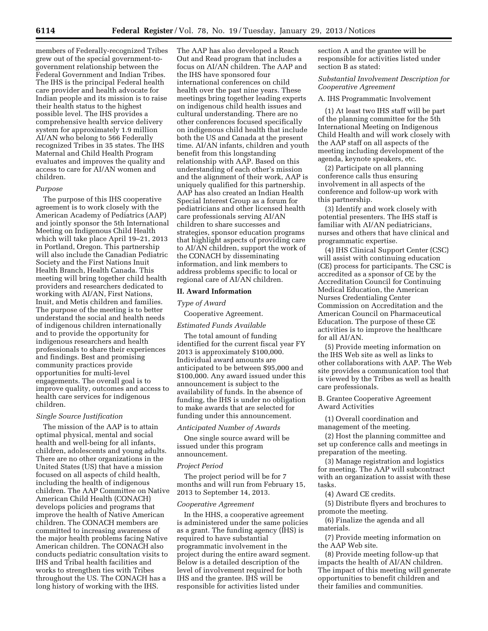members of Federally-recognized Tribes grew out of the special government-togovernment relationship between the Federal Government and Indian Tribes. The IHS is the principal Federal health care provider and health advocate for Indian people and its mission is to raise their health status to the highest possible level. The IHS provides a comprehensive health service delivery system for approximately 1.9 million AI/AN who belong to 566 Federally recognized Tribes in 35 states. The IHS Maternal and Child Health Program evaluates and improves the quality and access to care for AI/AN women and children.

### *Purpose*

The purpose of this IHS cooperative agreement is to work closely with the American Academy of Pediatrics (AAP) and jointly sponsor the 5th International Meeting on Indigenous Child Health which will take place April 19–21, 2013 in Portland, Oregon. This partnership will also include the Canadian Pediatric Society and the First Nations Inuit Health Branch, Health Canada. This meeting will bring together child health providers and researchers dedicated to working with AI/AN, First Nations, Inuit, and Metis children and families. The purpose of the meeting is to better understand the social and health needs of indigenous children internationally and to provide the opportunity for indigenous researchers and health professionals to share their experiences and findings. Best and promising community practices provide opportunities for multi-level engagements. The overall goal is to improve quality, outcomes and access to health care services for indigenous children.

# *Single Source Justification*

The mission of the AAP is to attain optimal physical, mental and social health and well-being for all infants, children, adolescents and young adults. There are no other organizations in the United States (US) that have a mission focused on all aspects of child health, including the health of indigenous children. The AAP Committee on Native American Child Health (CONACH) develops policies and programs that improve the health of Native American children. The CONACH members are committed to increasing awareness of the major health problems facing Native American children. The CONACH also conducts pediatric consultation visits to IHS and Tribal health facilities and works to strengthen ties with Tribes throughout the US. The CONACH has a long history of working with the IHS.

The AAP has also developed a Reach Out and Read program that includes a focus on AI/AN children. The AAP and the IHS have sponsored four international conferences on child health over the past nine years. These meetings bring together leading experts on indigenous child health issues and cultural understanding. There are no other conferences focused specifically on indigenous child health that include both the US and Canada at the present time. AI/AN infants, children and youth benefit from this longstanding relationship with AAP. Based on this understanding of each other's mission and the alignment of their work, AAP is uniquely qualified for this partnership. AAP has also created an Indian Health Special Interest Group as a forum for pediatricians and other licensed health care professionals serving AI/AN children to share successes and strategies, sponsor education programs that highlight aspects of providing care to AI/AN children, support the work of the CONACH by disseminating information, and link members to address problems specific to local or regional care of AI/AN children.

### **II. Award Information**

#### *Type of Award*

Cooperative Agreement.

# *Estimated Funds Available*

The total amount of funding identified for the current fiscal year FY 2013 is approximately \$100,000. Individual award amounts are anticipated to be between \$95,000 and \$100,000. Any award issued under this announcement is subject to the availability of funds. In the absence of funding, the IHS is under no obligation to make awards that are selected for funding under this announcement.

# *Anticipated Number of Awards*

One single source award will be issued under this program announcement.

#### *Project Period*

The project period will be for 7 months and will run from February 15, 2013 to September 14, 2013.

# *Cooperative Agreement*

In the HHS, a cooperative agreement is administered under the same policies as a grant. The funding agency (IHS) is required to have substantial programmatic involvement in the project during the entire award segment. Below is a detailed description of the level of involvement required for both IHS and the grantee. IHS will be responsible for activities listed under

section A and the grantee will be responsible for activities listed under section B as stated:

# *Substantial Involvement Description for Cooperative Agreement*

# A. IHS Programmatic Involvement

(1) At least two IHS staff will be part of the planning committee for the 5th International Meeting on Indigenous Child Health and will work closely with the AAP staff on all aspects of the meeting including development of the agenda, keynote speakers, etc.

(2) Participate on all planning conference calls thus ensuring involvement in all aspects of the conference and follow-up work with this partnership.

(3) Identify and work closely with potential presenters. The IHS staff is familiar with AI/AN pediatricians, nurses and others that have clinical and programmatic expertise.

(4) IHS Clinical Support Center (CSC) will assist with continuing education (CE) process for participants. The CSC is accredited as a sponsor of CE by the Accreditation Council for Continuing Medical Education, the American Nurses Credentialing Center Commission on Accreditation and the American Council on Pharmaceutical Education. The purpose of these CE activities is to improve the healthcare for all AI/AN.

(5) Provide meeting information on the IHS Web site as well as links to other collaborations with AAP. The Web site provides a communication tool that is viewed by the Tribes as well as health care professionals.

B. Grantee Cooperative Agreement Award Activities

(1) Overall coordination and management of the meeting.

(2) Host the planning committee and set up conference calls and meetings in preparation of the meeting.

(3) Manage registration and logistics for meeting. The AAP will subcontract with an organization to assist with these tasks.

(4) Award CE credits.

(5) Distribute flyers and brochures to promote the meeting.

(6) Finalize the agenda and all materials.

(7) Provide meeting information on the AAP Web site.

(8) Provide meeting follow-up that impacts the health of AI/AN children. The impact of this meeting will generate opportunities to benefit children and their families and communities.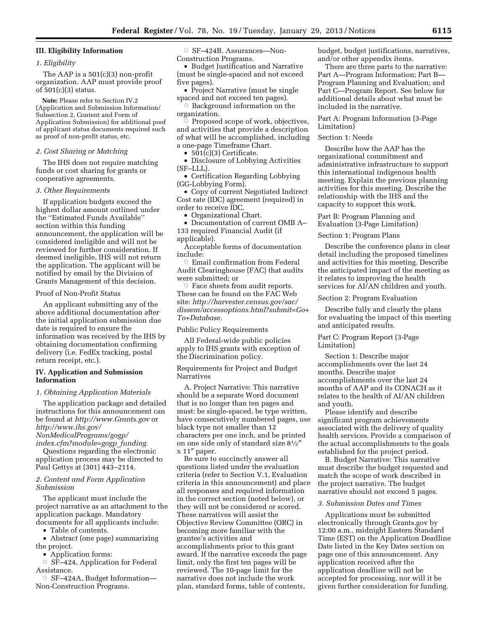# **III. Eligibility Information**

### *1. Eligibility*

The AAP is a 501(c)(3) non-profit organization. AAP must provide proof of 501(c)(3) status.

**Note:** Please refer to Section IV.2 (Application and Submission Information/ Subsection 2, Content and Form of Application Submission) for additional poof of applicant status documents required such as proof of non-profit status, etc.

#### *2. Cost Sharing or Matching*

The IHS does not require matching funds or cost sharing for grants or cooperative agreements.

#### *3. Other Requirements*

If application budgets exceed the highest dollar amount outlined under the ''Estimated Funds Available'' section within this funding announcement, the application will be considered ineligible and will not be reviewed for further consideration. If deemed ineligible, IHS will not return the application. The applicant will be notified by email by the Division of Grants Management of this decision.

### Proof of Non-Profit Status

An applicant submitting any of the above additional documentation after the initial application submission due date is required to ensure the information was received by the IHS by obtaining documentation confirming delivery (i.e. FedEx tracking, postal return receipt, etc.).

# **IV. Application and Submission Information**

## *1. Obtaining Application Materials*

The application package and detailed instructions for this announcement can be found at *<http://www.Grants.gov>*or *[http://www.ihs.gov/](http://www.ihs.gov/NonMedicalPrograms/gogp/index.cfm?module=gogp_funding)* 

*[NonMedicalPrograms/gogp/](http://www.ihs.gov/NonMedicalPrograms/gogp/index.cfm?module=gogp_funding) [index.cfm?module=gogp](http://www.ihs.gov/NonMedicalPrograms/gogp/index.cfm?module=gogp_funding)*\_*funding.* 

Questions regarding the electronic application process may be directed to Paul Gettys at (301) 443–2114.

## *2. Content and Form Application Submission*

The applicant must include the project narrative as an attachment to the application package. Mandatory documents for all applicants include:

• Table of contents.

• Abstract (one page) summarizing the project.

• Application forms:

 $\circ$  SF-424, Application for Federal Assistance.

Æ SF–424A, Budget Information— Non-Construction Programs.

Æ SF–424B, Assurances—Non-Construction Programs.

• Budget Justification and Narrative (must be single-spaced and not exceed five pages).

• Project Narrative (must be single spaced and not exceed ten pages).

 $\circ$  Background information on the organization.

 $\heartsuit$  Proposed scope of work, objectives, and activities that provide a description of what will be accomplished, including a one-page Timeframe Chart.

• 501(c)(3) Certificate.

• Disclosure of Lobbying Activities (SF–LLL).

• Certification Regarding Lobbying (GG-Lobbying Form).

• Copy of current Negotiated Indirect Cost rate (IDC) agreement (required) in order to receive IDC.

• Organizational Chart.

• Documentation of current OMB A– 133 required Financial Audit (if applicable).

Acceptable forms of documentation include:

 $\circ$  Email confirmation from Federal Audit Clearinghouse (FAC) that audits were submitted; or

 $\circ$  Face sheets from audit reports. These can be found on the FAC Web site: *[http://harvester.census.gov/sac/](http://harvester.census.gov/sac/dissem/accessoptions.html?submit=Go+To+Database) [dissem/accessoptions.html?submit=Go+](http://harvester.census.gov/sac/dissem/accessoptions.html?submit=Go+To+Database) [To+Database.](http://harvester.census.gov/sac/dissem/accessoptions.html?submit=Go+To+Database)* 

Public Policy Requirements

All Federal-wide public policies apply to IHS grants with exception of the Discrimination policy.

Requirements for Project and Budget Narratives

A. Project Narrative: This narrative should be a separate Word document that is no longer than ten pages and must: be single-spaced, be type written, have consecutively numbered pages, use black type not smaller than 12 characters per one inch, and be printed on one side only of standard size 81⁄2″ x 11″ paper.

Be sure to succinctly answer all questions listed under the evaluation criteria (refer to Section V.1, Evaluation criteria in this announcement) and place all responses and required information in the correct section (noted below), or they will not be considered or scored. These narratives will assist the Objective Review Committee (ORC) in becoming more familiar with the grantee's activities and accomplishments prior to this grant award. If the narrative exceeds the page limit, only the first ten pages will be reviewed. The 10-page limit for the narrative does not include the work plan, standard forms, table of contents,

budget, budget justifications, narratives, and/or other appendix items.

There are three parts to the narrative: Part A—Program Information; Part B— Program Planning and Evaluation; and Part C—Program Report. See below for additional details about what must be included in the narrative.

Part A: Program Information (3-Page Limitation)

### Section 1: Needs

Describe how the AAP has the organizational commitment and administrative infrastructure to support this international indigenous health meeting. Explain the previous planning activities for this meeting. Describe the relationship with the IHS and the capacity to support this work.

Part B: Program Planning and Evaluation (3-Page Limitation)

Section 1: Program Plans

Describe the conference plans in clear detail including the proposed timelines and activities for this meeting. Describe the anticipated impact of the meeting as it relates to improving the health services for AI/AN children and youth.

Section 2: Program Evaluation

Describe fully and clearly the plans for evaluating the impact of this meeting and anticipated results.

# Part C: Program Report (3-Page Limitation)

Section 1: Describe major accomplishments over the last 24 months. Describe major accomplishments over the last 24 months of AAP and its CONACH as it relates to the health of AI/AN children and youth.

Please identify and describe significant program achievements associated with the delivery of quality health services. Provide a comparison of the actual accomplishments to the goals established for the project period.

B. Budget Narrative: This narrative must describe the budget requested and match the scope of work described in the project narrative. The budget narrative should not exceed 5 pages.

### *3. Submission Dates and Times*

Applications must be submitted electronically through Grants.gov by 12:00 a.m., midnight Eastern Standard Time (EST) on the Application Deadline Date listed in the Key Dates section on page one of this announcement. Any application received after the application deadline will not be accepted for processing, nor will it be given further consideration for funding.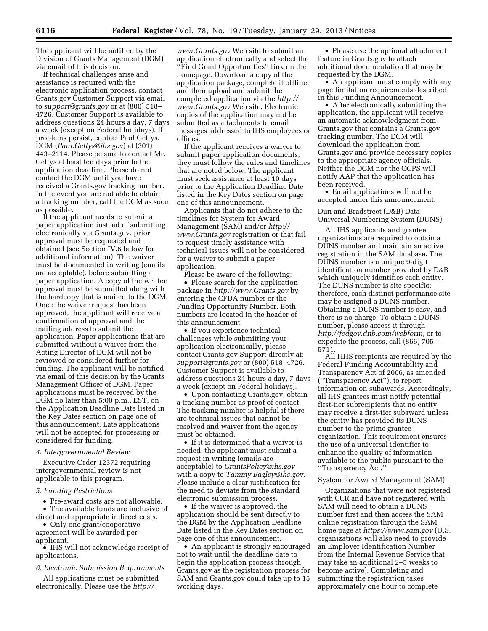The applicant will be notified by the Division of Grants Management (DGM) via email of this decision.

If technical challenges arise and assistance is required with the electronic application process, contact Grants.gov Customer Support via email to *[support@grants.gov](mailto:support@grants.gov)* or at (800) 518– 4726. Customer Support is available to address questions 24 hours a day, 7 days a week (except on Federal holidays). If problems persist, contact Paul Gettys, DGM (*[Paul.Gettys@ihs.gov](mailto:Paul.Gettys@ihs.gov)*) at (301) 443–2114. Please be sure to contact Mr. Gettys at least ten days prior to the application deadline. Please do not contact the DGM until you have received a Grants.gov tracking number. In the event you are not able to obtain a tracking number, call the DGM as soon as possible.

If the applicant needs to submit a paper application instead of submitting electronically via Grants.gov, prior approval must be requested and obtained (see Section IV.6 below for additional information). The waiver must be documented in writing (emails are acceptable), before submitting a paper application. A copy of the written approval must be submitted along with the hardcopy that is mailed to the DGM. Once the waiver request has been approved, the applicant will receive a confirmation of approval and the mailing address to submit the application. Paper applications that are submitted without a waiver from the Acting Director of DGM will not be reviewed or considered further for funding. The applicant will be notified via email of this decision by the Grants Management Officer of DGM. Paper applications must be received by the DGM no later than 5:00 p.m., EST, on the Application Deadline Date listed in the Key Dates section on page one of this announcement. Late applications will not be accepted for processing or considered for funding.

### *4. Intergovernmental Review*

Executive Order 12372 requiring intergovernmental review is not applicable to this program.

## *5. Funding Restrictions*

• Pre-award costs are not allowable. • The available funds are inclusive of

direct and appropriate indirect costs.

• Only one grant/cooperative agreement will be awarded per applicant.

• IHS will not acknowledge receipt of applications.

*6. Electronic Submission Requirements* 

All applications must be submitted electronically. Please use the *[http://](http://www.Grants.gov)* 

*[www.Grants.gov](http://www.Grants.gov)* Web site to submit an application electronically and select the ''Find Grant Opportunities'' link on the homepage. Download a copy of the application package, complete it offline, and then upload and submit the completed application via the *[http://](http://www.Grants.gov) [www.Grants.gov](http://www.Grants.gov)* Web site. Electronic copies of the application may not be submitted as attachments to email messages addressed to IHS employees or offices.

If the applicant receives a waiver to submit paper application documents, they must follow the rules and timelines that are noted below. The applicant must seek assistance at least 10 days prior to the Application Deadline Date listed in the Key Dates section on page one of this announcement.

Applicants that do not adhere to the timelines for System for Award Management (SAM) and/or *[http://](http://www.Grants.gov) [www.Grants.gov](http://www.Grants.gov)* registration or that fail to request timely assistance with technical issues will not be considered for a waiver to submit a paper application.

Please be aware of the following:

• Please search for the application package in *<http://www.Grants.gov>* by entering the CFDA number or the Funding Opportunity Number. Both numbers are located in the header of this announcement.

• If you experience technical challenges while submitting your application electronically, please contact Grants.gov Support directly at: *[support@grants.gov](mailto:support@grants.gov)* or (800) 518–4726. Customer Support is available to address questions 24 hours a day, 7 days a week (except on Federal holidays).

• Upon contacting Grants.gov, obtain a tracking number as proof of contact. The tracking number is helpful if there are technical issues that cannot be resolved and waiver from the agency must be obtained.

• If it is determined that a waiver is needed, the applicant must submit a request in writing (emails are acceptable) to *[GrantsPolicy@ihs.gov](mailto:GrantsPolicy@ihs.gov)*  with a copy to *[Tammy.Bagley@ihs.gov.](mailto:Tammy.Bagley@ihs.gov)*  Please include a clear justification for the need to deviate from the standard electronic submission process.

• If the waiver is approved, the application should be sent directly to the DGM by the Application Deadline Date listed in the Key Dates section on page one of this announcement.

• An applicant is strongly encouraged not to wait until the deadline date to begin the application process through Grants.gov as the registration process for SAM and Grants.gov could take up to 15 working days.

• Please use the optional attachment feature in Grants.gov to attach additional documentation that may be requested by the DGM.

• An applicant must comply with any page limitation requirements described in this Funding Announcement.

• After electronically submitting the application, the applicant will receive an automatic acknowledgment from Grants.gov that contains a Grants.gov tracking number. The DGM will download the application from Grants.gov and provide necessary copies to the appropriate agency officials. Neither the DGM nor the OCPS will notify AAP that the application has been received.

• Email applications will not be accepted under this announcement.

Dun and Bradstreet (D&B) Data Universal Numbering System (DUNS)

All IHS applicants and grantee organizations are required to obtain a DUNS number and maintain an active registration in the SAM database. The DUNS number is a unique 9-digit identification number provided by D&B which uniquely identifies each entity. The DUNS number is site specific; therefore, each distinct performance site may be assigned a DUNS number. Obtaining a DUNS number is easy, and there is no charge. To obtain a DUNS number, please access it through *[http://fedgov.dnb.com/webform,](http://fedgov.dnb.com/webform)* or to expedite the process, call (866) 705– 5711.

All HHS recipients are required by the Federal Funding Accountability and Transparency Act of 2006, as amended (''Transparency Act''), to report information on subawards. Accordingly, all IHS grantees must notify potential first-tier subrecipients that no entity may receive a first-tier subaward unless the entity has provided its DUNS number to the prime grantee organization. This requirement ensures the use of a universal identifier to enhance the quality of information available to the public pursuant to the ''Transparency Act.''

#### System for Award Management (SAM)

Organizations that were not registered with CCR and have not registered with SAM will need to obtain a DUNS number first and then access the SAM online registration through the SAM home page at *<https://www.sam.gov>* (U.S. organizations will also need to provide an Employer Identification Number from the Internal Revenue Service that may take an additional 2–5 weeks to become active). Completing and submitting the registration takes approximately one hour to complete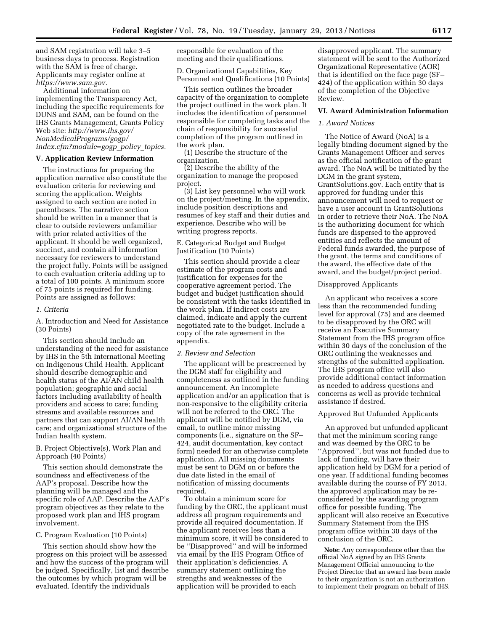and SAM registration will take 3–5 business days to process. Registration with the SAM is free of charge. Applicants may register online at *[https://www.sam.gov.](https://www.sam.gov)* 

Additional information on implementing the Transparency Act, including the specific requirements for DUNS and SAM, can be found on the IHS Grants Management, Grants Policy Web site: *[http://www.ihs.gov/](http://www.ihs.gov/NonMedicalPrograms/gogp/index.cfm?module=gogp_policy_topics) [NonMedicalPrograms/gogp/](http://www.ihs.gov/NonMedicalPrograms/gogp/index.cfm?module=gogp_policy_topics) [index.cfm?module=gogp](http://www.ihs.gov/NonMedicalPrograms/gogp/index.cfm?module=gogp_policy_topics)*\_*policy*\_*topics.* 

#### **V. Application Review Information**

The instructions for preparing the application narrative also constitute the evaluation criteria for reviewing and scoring the application. Weights assigned to each section are noted in parentheses. The narrative section should be written in a manner that is clear to outside reviewers unfamiliar with prior related activities of the applicant. It should be well organized, succinct, and contain all information necessary for reviewers to understand the project fully. Points will be assigned to each evaluation criteria adding up to a total of 100 points. A minimum score of 75 points is required for funding. Points are assigned as follows:

## *1. Criteria*

A. Introduction and Need for Assistance (30 Points)

This section should include an understanding of the need for assistance by IHS in the 5th International Meeting on Indigenous Child Health. Applicant should describe demographic and health status of the AI/AN child health population; geographic and social factors including availability of health providers and access to care; funding streams and available resources and partners that can support AI/AN health care; and organizational structure of the Indian health system.

B. Project Objective(s), Work Plan and Approach (40 Points)

This section should demonstrate the soundness and effectiveness of the AAP's proposal. Describe how the planning will be managed and the specific role of AAP. Describe the AAP's program objectives as they relate to the proposed work plan and IHS program involvement.

#### C. Program Evaluation (10 Points)

This section should show how the progress on this project will be assessed and how the success of the program will be judged. Specifically, list and describe the outcomes by which program will be evaluated. Identify the individuals

responsible for evaluation of the meeting and their qualifications.

D. Organizational Capabilities, Key Personnel and Qualifications (10 Points)

This section outlines the broader capacity of the organization to complete the project outlined in the work plan. It includes the identification of personnel responsible for completing tasks and the chain of responsibility for successful completion of the program outlined in the work plan.

(1) Describe the structure of the organization.

(2) Describe the ability of the organization to manage the proposed project.

(3) List key personnel who will work on the project/meeting. In the appendix, include position descriptions and resumes of key staff and their duties and experience. Describe who will be writing progress reports.

## E. Categorical Budget and Budget Justification (10 Points)

This section should provide a clear estimate of the program costs and justification for expenses for the cooperative agreement period. The budget and budget justification should be consistent with the tasks identified in the work plan. If indirect costs are claimed, indicate and apply the current negotiated rate to the budget. Include a copy of the rate agreement in the appendix.

#### *2. Review and Selection*

The applicant will be prescreened by the DGM staff for eligibility and completeness as outlined in the funding announcement. An incomplete application and/or an application that is non-responsive to the eligibility criteria will not be referred to the ORC. The applicant will be notified by DGM, via email, to outline minor missing components (i.e., signature on the SF– 424, audit documentation, key contact form) needed for an otherwise complete application. All missing documents must be sent to DGM on or before the due date listed in the email of notification of missing documents required.

To obtain a minimum score for funding by the ORC, the applicant must address all program requirements and provide all required documentation. If the applicant receives less than a minimum score, it will be considered to be ''Disapproved'' and will be informed via email by the IHS Program Office of their application's deficiencies. A summary statement outlining the strengths and weaknesses of the application will be provided to each

disapproved applicant. The summary statement will be sent to the Authorized Organizational Representative (AOR) that is identified on the face page (SF– 424) of the application within 30 days of the completion of the Objective Review.

### **VI. Award Administration Information**

# *1. Award Notices*

The Notice of Award (NoA) is a legally binding document signed by the Grants Management Officer and serves as the official notification of the grant award. The NoA will be initiated by the DGM in the grant system, GrantSolutions.gov. Each entity that is approved for funding under this announcement will need to request or have a user account in GrantSolutions in order to retrieve their NoA. The NoA is the authorizing document for which funds are dispersed to the approved entities and reflects the amount of Federal funds awarded, the purpose of the grant, the terms and conditions of the award, the effective date of the award, and the budget/project period.

# Disapproved Applicants

An applicant who receives a score less than the recommended funding level for approval (75) and are deemed to be disapproved by the ORC will receive an Executive Summary Statement from the IHS program office within 30 days of the conclusion of the ORC outlining the weaknesses and strengths of the submitted application. The IHS program office will also provide additional contact information as needed to address questions and concerns as well as provide technical assistance if desired.

### Approved But Unfunded Applicants

An approved but unfunded applicant that met the minimum scoring range and was deemed by the ORC to be ''Approved'', but was not funded due to lack of funding, will have their application held by DGM for a period of one year. If additional funding becomes available during the course of FY 2013, the approved application may be reconsidered by the awarding program office for possible funding. The applicant will also receive an Executive Summary Statement from the IHS program office within 30 days of the conclusion of the ORC.

**Note:** Any correspondence other than the official NoA signed by an IHS Grants Management Official announcing to the Project Director that an award has been made to their organization is not an authorization to implement their program on behalf of IHS.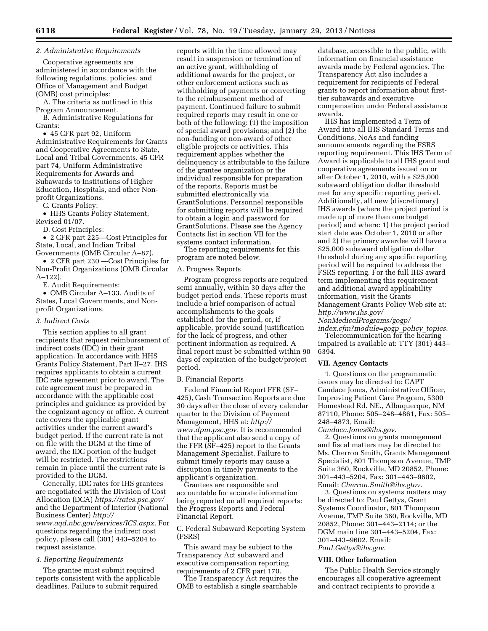# *2. Administrative Requirements*

Cooperative agreements are administered in accordance with the following regulations, policies, and Office of Management and Budget (OMB) cost principles:

A. The criteria as outlined in this Program Announcement.

B. Administrative Regulations for Grants:

• 45 CFR part 92, Uniform Administrative Requirements for Grants and Cooperative Agreements to State, Local and Tribal Governments. 45 CFR part 74, Uniform Administrative Requirements for Awards and Subawards to Institutions of Higher Education, Hospitals, and other Nonprofit Organizations.

C. Grants Policy:

• HHS Grants Policy Statement, Revised 01/07.

D. Cost Principles:

• 2 CFR part 225—Cost Principles for State, Local, and Indian Tribal Governments (OMB Circular A–87).

• 2 CFR part 230 —Cost Principles for Non-Profit Organizations (OMB Circular A–122).

E. Audit Requirements:

• OMB Circular A–133, Audits of States, Local Governments, and Nonprofit Organizations.

#### *3. Indirect Costs*

This section applies to all grant recipients that request reimbursement of indirect costs (IDC) in their grant application. In accordance with HHS Grants Policy Statement, Part II–27, IHS requires applicants to obtain a current IDC rate agreement prior to award. The rate agreement must be prepared in accordance with the applicable cost principles and guidance as provided by the cognizant agency or office. A current rate covers the applicable grant activities under the current award's budget period. If the current rate is not on file with the DGM at the time of award, the IDC portion of the budget will be restricted. The restrictions remain in place until the current rate is provided to the DGM.

Generally, IDC rates for IHS grantees are negotiated with the Division of Cost Allocation (DCA) *<https://rates.psc.gov/>*  and the Department of Interior (National Business Center) *[http://](http://www.aqd.nbc.gov/services/ICS.aspx)  [www.aqd.nbc.gov/services/ICS.aspx.](http://www.aqd.nbc.gov/services/ICS.aspx)* For questions regarding the indirect cost policy, please call (301) 443–5204 to request assistance.

### *4. Reporting Requirements*

The grantee must submit required reports consistent with the applicable deadlines. Failure to submit required

reports within the time allowed may result in suspension or termination of an active grant, withholding of additional awards for the project, or other enforcement actions such as withholding of payments or converting to the reimbursement method of payment. Continued failure to submit required reports may result in one or both of the following: (1) the imposition of special award provisions; and (2) the non-funding or non-award of other eligible projects or activities. This requirement applies whether the delinquency is attributable to the failure of the grantee organization or the individual responsible for preparation of the reports. Reports must be submitted electronically via GrantSolutions. Personnel responsible for submitting reports will be required to obtain a login and password for GrantSolutions. Please see the Agency Contacts list in section VII for the systems contact information.

The reporting requirements for this program are noted below.

#### A. Progress Reports

Program progress reports are required semi annually, within 30 days after the budget period ends. These reports must include a brief comparison of actual accomplishments to the goals established for the period, or, if applicable, provide sound justification for the lack of progress, and other pertinent information as required. A final report must be submitted within 90 days of expiration of the budget/project period.

# B. Financial Reports

Federal Financial Report FFR (SF– 425), Cash Transaction Reports are due 30 days after the close of every calendar quarter to the Division of Payment Management, HHS at: *[http://](http://www.dpm.psc.gov)  [www.dpm.psc.gov.](http://www.dpm.psc.gov)* It is recommended that the applicant also send a copy of the FFR (SF–425) report to the Grants Management Specialist. Failure to submit timely reports may cause a disruption in timely payments to the applicant's organization.

Grantees are responsible and accountable for accurate information being reported on all required reports: the Progress Reports and Federal Financial Report.

C. Federal Subaward Reporting System (FSRS)

This award may be subject to the Transparency Act subaward and executive compensation reporting requirements of 2 CFR part 170.

The Transparency Act requires the OMB to establish a single searchable

database, accessible to the public, with information on financial assistance awards made by Federal agencies. The Transparency Act also includes a requirement for recipients of Federal grants to report information about firsttier subawards and executive compensation under Federal assistance awards.

IHS has implemented a Term of Award into all IHS Standard Terms and Conditions, NoAs and funding announcements regarding the FSRS reporting requirement. This IHS Term of Award is applicable to all IHS grant and cooperative agreements issued on or after October 1, 2010, with a \$25,000 subaward obligation dollar threshold met for any specific reporting period. Additionally, all new (discretionary) IHS awards (where the project period is made up of more than one budget period) and where: 1) the project period start date was October 1, 2010 or after and 2) the primary awardee will have a \$25,000 subaward obligation dollar threshold during any specific reporting period will be required to address the FSRS reporting. For the full IHS award term implementing this requirement and additional award applicability information, visit the Grants Management Grants Policy Web site at: *[http://www.ihs.gov/](http://www.ihs.gov/NonMedicalPrograms/gogp/index.cfm?module=gogp_policy_topics) [NonMedicalPrograms/gogp/](http://www.ihs.gov/NonMedicalPrograms/gogp/index.cfm?module=gogp_policy_topics)* 

*[index.cfm?module=gogp](http://www.ihs.gov/NonMedicalPrograms/gogp/index.cfm?module=gogp_policy_topics)*\_*policy*\_*topics.*  Telecommunication for the hearing impaired is available at: TTY (301) 443– 6394.

### **VII. Agency Contacts**

1. Questions on the programmatic issues may be directed to: CAPT Candace Jones, Administrative Officer, Improving Patient Care Program, 5300 Homestead Rd. NE., Albuquerque, NM 87110, Phone: 505–248–4861, Fax: 505– 248–4873, Email:

*[Candace.Jones@ihs.gov.](mailto:Candace.Jones@ihs.gov)* 

2. Questions on grants management and fiscal matters may be directed to: Ms. Cherron Smith, Grants Management Specialist, 801 Thompson Avenue, TMP Suite 360, Rockville, MD 20852, Phone: 301–443–5204, Fax: 301–443–9602, Email: *[Cherron.Smith@ihs.gtov.](mailto:Cherron.Smith@ihs.gtov)* 

3. Questions on systems matters may be directed to: Paul Gettys, Grant Systems Coordinator, 801 Thompson Avenue, TMP Suite 360, Rockville, MD 20852, Phone: 301–443–2114; or the DGM main line 301–443–5204, Fax: 301–443–9602, Email: *[Paul.Gettys@ihs.gov.](mailto:Paul.Gettys@ihs.gov)* 

## **VIII. Other Information**

The Public Health Service strongly encourages all cooperative agreement and contract recipients to provide a